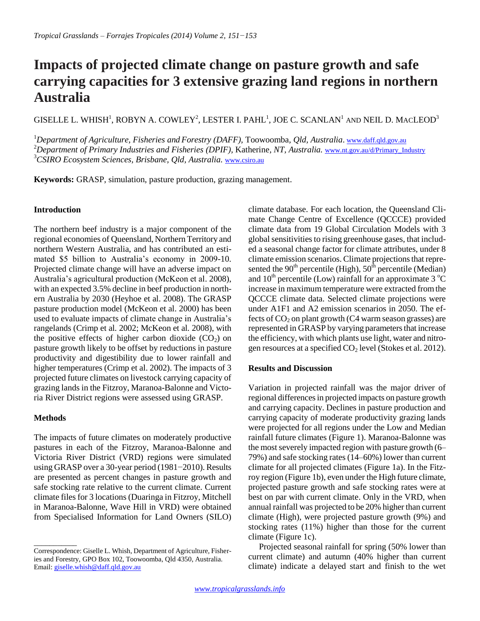# **Impacts of projected climate change on pasture growth and safe carrying capacities for 3 extensive grazing land regions in northern Australia**

GISELLE L. WHISH<sup>1</sup>, ROBYN A. COWLEY<sup>2</sup>, LESTER I. PAHL<sup>1</sup>, JOE C. SCANLAN<sup>1</sup> and NEIL D. MacLEOD<sup>3</sup>

<sup>1</sup>*Department of Agriculture, Fisheries and Forestry (DAFF),* Toowoomba*, Qld, Australia*. [www.daff.qld.gov.au](http://www.daff.qld.gov.au/) <sup>2</sup>Department of Primary Industries and Fisheries (DPIF), Katherine, NT, Australia. [www.nt.gov.au/d/Primary\\_Industry](http://www.nt.gov.au/d/Primary_Industry) <sup>3</sup>*CSIRO Ecosystem Sciences, Brisbane, Qld, Australia.* [www.csiro.au](http://www.csiro.au/) 

**Keywords:** GRASP, simulation, pasture production, grazing management.

## **Introduction**

The northern beef industry is a major component of the regional economies of Queensland, Northern Territory and northern Western Australia, and has contributed an estimated \$5 billion to Australia's economy in 2009-10. Projected climate change will have an adverse impact on Australia's agricultural production (McKeon et al. 2008), with an expected 3.5% decline in beef production in northern Australia by 2030 (Heyhoe et al. 2008). The GRASP pasture production model (McKeon et al. 2000) has been used to evaluate impacts of climate change in Australia's rangelands (Crimp et al*.* 2002; McKeon et al*.* 2008), with the positive effects of higher carbon dioxide  $(CO<sub>2</sub>)$  on pasture growth likely to be offset by reductions in pasture productivity and digestibility due to lower rainfall and higher temperatures (Crimp et al. 2002). The impacts of 3 projected future climates on livestock carrying capacity of grazing lands in the Fitzroy, Maranoa-Balonne and Victoria River District regions were assessed using GRASP.

### **Methods**

 $\overline{\phantom{a}}$ 

The impacts of future climates on moderately productive pastures in each of the Fitzroy, Maranoa-Balonne and Victoria River District (VRD) regions were simulated using GRASP over a 30-year period (1981−2010). Results are presented as percent changes in pasture growth and safe stocking rate relative to the current climate. Current climate files for 3 locations (Duaringa in Fitzroy, Mitchell in Maranoa-Balonne, Wave Hill in VRD) were obtained from Specialised Information for Land Owners (SILO)

climate database. For each location, the Queensland Climate Change Centre of Excellence (QCCCE) provided climate data from 19 Global Circulation Models with 3 global sensitivities to rising greenhouse gases, that included a seasonal change factor for climate attributes, under 8 climate emission scenarios. Climate projections that represented the 90<sup>th</sup> percentile (High),  $50<sup>th</sup>$  percentile (Median) and  $10^{th}$  percentile (Low) rainfall for an approximate 3  $^{\circ}$ C increase in maximum temperature were extracted from the QCCCE climate data. Selected climate projections were under A1F1 and A2 emission scenarios in 2050. The effects of  $CO<sub>2</sub>$  on plant growth (C4 warm season grasses) are represented in GRASP by varying parameters that increase the efficiency, with which plants use light, water and nitrogen resources at a specified  $CO<sub>2</sub>$  level (Stokes et al. 2012).

### **Results and Discussion**

Variation in projected rainfall was the major driver of regional differences in projected impacts on pasture growth and carrying capacity. Declines in pasture production and carrying capacity of moderate productivity grazing lands were projected for all regions under the Low and Median rainfall future climates (Figure 1). Maranoa-Balonne was the most severely impacted region with pasture growth (6– 79%) and safe stocking rates (14–60%) lower than current climate for all projected climates (Figure 1a). In the Fitzroy region (Figure 1b), even under the High future climate, projected pasture growth and safe stocking rates were at best on par with current climate. Only in the VRD, when annual rainfall was projected to be 20% higher than current climate (High), were projected pasture growth (9%) and stocking rates (11%) higher than those for the current climate (Figure 1c).

Projected seasonal rainfall for spring (50% lower than current climate) and autumn (40% higher than current climate) indicate a delayed start and finish to the wet

Correspondence: Giselle L. Whish, Department of Agriculture, Fisheries and Forestry, GPO Box 102, Toowoomba, Qld 4350, Australia. Email[: giselle.whish@daff.qld.gov.au](mailto:giselle.whish@daff.qld.gov.au)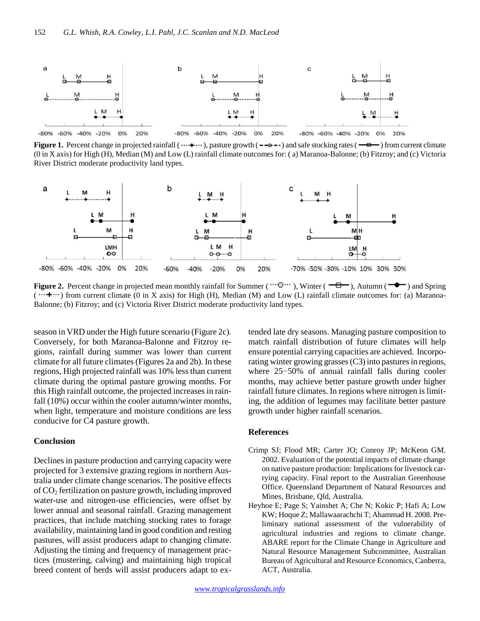

**Figure 1.** Percent change in projected rainfall ( $\cdots$ + $\cdots$ ), pasture growth ( $\cdots$ + $\cdots$ ) and safe stocking rates ( $\cdots$ = $\cdots$ ) from current climate (0 in X axis) for High (H), Median (M) and Low (L) rainfall climate outcomes for: ( a) Maranoa-Balonne; (b) Fitzroy; and (c) Victoria River District moderate productivity land types.



**Figure 2.** Percent change in projected mean monthly rainfall for Summer ( $\cdots$ ), Winter ( $\overline{\phantom{a}}$ ), Autumn ( $\overline{\phantom{a}}$ ) and Spring  $(\cdots + \cdots)$  from current climate (0 in X axis) for High (H), Median (M) and Low (L) rainfall climate outcomes for: (a) Maranoa-Balonne; (b) Fitzroy; and (c) Victoria River District moderate productivity land types.

season in VRD under the High future scenario (Figure 2c). Conversely, for both Maranoa-Balonne and Fitzroy regions, rainfall during summer was lower than current climate for all future climates (Figures 2a and 2b). In these regions, High projected rainfall was 10% less than current climate during the optimal pasture growing months. For this High rainfall outcome, the projected increases in rainfall (10%) occur within the cooler autumn/winter months, when light, temperature and moisture conditions are less conducive for C4 pasture growth.

#### **Conclusion**

Declines in pasture production and carrying capacity were projected for 3 extensive grazing regions in northern Australia under climate change scenarios. The positive effects of CO<sup>2</sup> fertilization on pasture growth, including improved water-use and nitrogen-use efficiencies, were offset by lower annual and seasonal rainfall. Grazing management practices, that include matching stocking rates to forage availability, maintaining land in good condition and resting pastures, will assist producers adapt to changing climate. Adjusting the timing and frequency of management practices (mustering, calving) and maintaining high tropical breed content of herds will assist producers adapt to extended late dry seasons. Managing pasture composition to match rainfall distribution of future climates will help ensure potential carrying capacities are achieved. Incorporating winter growing grasses (C3) into pastures in regions, where 25−50% of annual rainfall falls during cooler months, may achieve better pasture growth under higher rainfall future climates. In regions where nitrogen is limiting, the addition of legumes may facilitate better pasture growth under higher rainfall scenarios.

#### **References**

- Crimp SJ; Flood MR; Carter JO; Conroy JP; McKeon GM. 2002. Evaluation of the potential impacts of climate change on native pasture production: Implications for livestock carrying capacity. Final report to the Australian Greenhouse Office. Queensland Department of Natural Resources and Mines, Brisbane, Qld, Australia.
- Heyhoe E; Page S; Yainshet A; Che N; Kokic P; Hafi A; Low KW; Hoque Z; Mallawaarachchi T; Ahammad H. 2008. Preliminary national assessment of the vulnerability of agricultural industries and regions to climate change. ABARE report for the Climate Change in Agriculture and Natural Resource Management Subcommittee, Australian Bureau of Agricultural and Resource Economics, Canberra, ACT, Australia.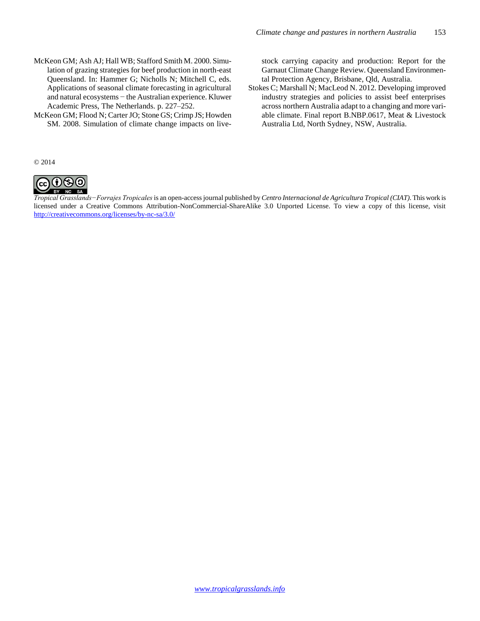- McKeon GM; Ash AJ; Hall WB; Stafford Smith M. 2000. Simulation of grazing strategies for beef production in north-east Queensland. In: Hammer G; Nicholls N; Mitchell C, eds. Applications of seasonal climate forecasting in agricultural and natural ecosystems − the Australian experience. Kluwer Academic Press, The Netherlands. p. 227–252.
- McKeon GM; Flood N; Carter JO; Stone GS; Crimp JS; Howden SM. 2008. Simulation of climate change impacts on live-

stock carrying capacity and production: Report for the Garnaut Climate Change Review. Queensland Environmental Protection Agency, Brisbane, Qld, Australia.

Stokes C; Marshall N; MacLeod N. 2012. Developing improved industry strategies and policies to assist beef enterprises across northern Australia adapt to a changing and more variable climate. Final report B.NBP.0617, Meat & Livestock Australia Ltd, North Sydney, NSW, Australia.

© 2014



*Tropical Grasslands−Forrajes Tropicales* is an open-access journal published by *Centro Internacional de Agricultura Tropical (CIAT)*. This work is licensed under a Creative Commons Attribution-NonCommercial-ShareAlike 3.0 Unported License. To view a copy of this license, visit <http://creativecommons.org/licenses/by-nc-sa/3.0/>